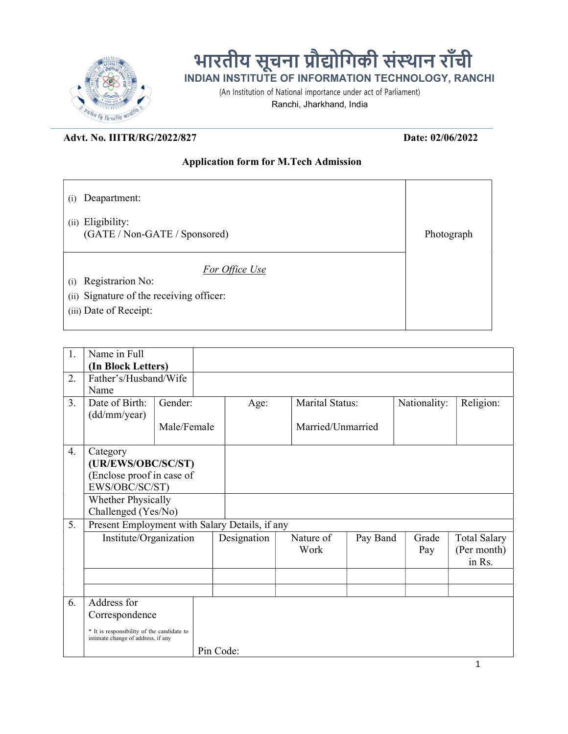

## भारतीय सूचना प्रौद्योगिकी संस्थान राँची INDIAN INSTITUTE OF INFORMATION TECHNOLOGY, RANCHI

(An Institution of National importance under act of Parliament)

Ranchi, Jharkhand, India

## Advt. No. IIITR/RG/2022/827 Date: 02/06/2022

## Application form for M.Tech Admission

- (i) Deapartment:
- (ii) Eligibility: (GATE / Non-GATE / Sponsored) Photograph

For Office Use

- (i) Registrarion No:
- (ii) Signature of the receiving officer:
- (iii) Date of Receipt:

|    | Name in Full                                                                     |             |           |             |                   |                 |              |                     |  |  |
|----|----------------------------------------------------------------------------------|-------------|-----------|-------------|-------------------|-----------------|--------------|---------------------|--|--|
| 1. |                                                                                  |             |           |             |                   |                 |              |                     |  |  |
|    | (In Block Letters)                                                               |             |           |             |                   |                 |              |                     |  |  |
| 2. | Father's/Husband/Wife                                                            |             |           |             |                   |                 |              |                     |  |  |
|    | Name                                                                             |             |           |             |                   |                 | Nationality: |                     |  |  |
| 3. | Date of Birth:                                                                   | Gender:     |           | Age:        |                   | Marital Status: |              | Religion:           |  |  |
|    | (dd/mm/year)                                                                     |             |           |             |                   |                 |              |                     |  |  |
|    |                                                                                  | Male/Female |           |             | Married/Unmarried |                 |              |                     |  |  |
| 4. | Category                                                                         |             |           |             |                   |                 |              |                     |  |  |
|    | (UR/EWS/OBC/SC/ST)                                                               |             |           |             |                   |                 |              |                     |  |  |
|    | (Enclose proof in case of                                                        |             |           |             |                   |                 |              |                     |  |  |
|    | EWS/OBC/SC/ST)                                                                   |             |           |             |                   |                 |              |                     |  |  |
|    | Whether Physically                                                               |             |           |             |                   |                 |              |                     |  |  |
|    | Challenged (Yes/No)                                                              |             |           |             |                   |                 |              |                     |  |  |
| 5. | Present Employment with Salary Details, if any                                   |             |           |             |                   |                 |              |                     |  |  |
|    | Institute/Organization                                                           |             |           | Designation | Nature of         | Pay Band        | Grade        | <b>Total Salary</b> |  |  |
|    |                                                                                  |             |           |             | Work              |                 | Pay          | (Per month)         |  |  |
|    |                                                                                  |             |           |             |                   |                 |              | in Rs.              |  |  |
|    |                                                                                  |             |           |             |                   |                 |              |                     |  |  |
|    |                                                                                  |             |           |             |                   |                 |              |                     |  |  |
| 6. | Address for                                                                      |             |           |             |                   |                 |              |                     |  |  |
|    | Correspondence                                                                   |             |           |             |                   |                 |              |                     |  |  |
|    | * It is responsibility of the candidate to<br>intimate change of address, if any |             |           |             |                   |                 |              |                     |  |  |
|    |                                                                                  |             | Pin Code: |             |                   |                 |              |                     |  |  |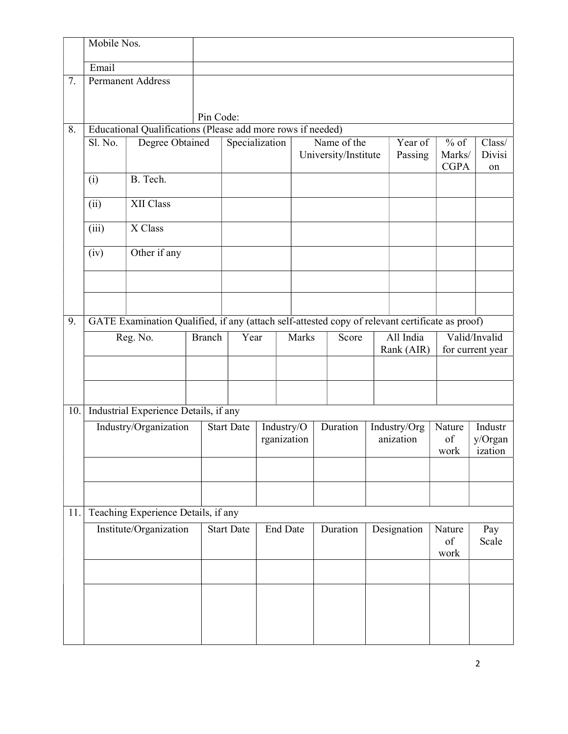|     | Mobile Nos.               |                                                                                                 |           |                   |             |                 |                |          |                      |             |               |                  |         |
|-----|---------------------------|-------------------------------------------------------------------------------------------------|-----------|-------------------|-------------|-----------------|----------------|----------|----------------------|-------------|---------------|------------------|---------|
|     | Email                     |                                                                                                 |           |                   |             |                 |                |          |                      |             |               |                  |         |
| 7.  |                           | <b>Permanent Address</b>                                                                        |           |                   |             |                 |                |          |                      |             |               |                  |         |
|     |                           |                                                                                                 |           |                   |             |                 |                |          |                      |             |               |                  |         |
|     |                           |                                                                                                 | Pin Code: |                   |             |                 |                |          |                      |             |               |                  |         |
| 8.  |                           | Educational Qualifications (Please add more rows if needed)                                     |           |                   |             |                 |                |          |                      |             |               |                  |         |
|     | Sl. No.                   | Specialization                                                                                  |           |                   | Name of the |                 | Year of        | $%$ of   | Class/               |             |               |                  |         |
|     |                           |                                                                                                 |           |                   |             |                 |                |          | University/Institute |             | Passing       | Marks/           | Divisi  |
|     | (i)                       | B. Tech.                                                                                        |           |                   |             |                 |                |          |                      |             |               | <b>CGPA</b>      | on      |
|     |                           |                                                                                                 |           |                   |             |                 |                |          |                      |             |               |                  |         |
|     | (ii)                      | XII Class                                                                                       |           |                   |             |                 |                |          |                      |             |               |                  |         |
|     | (iii)                     | X Class                                                                                         |           |                   |             |                 |                |          |                      |             |               |                  |         |
|     | (iv)                      | Other if any                                                                                    |           |                   |             |                 |                |          |                      |             |               |                  |         |
|     |                           |                                                                                                 |           |                   |             |                 |                |          |                      |             |               |                  |         |
|     |                           |                                                                                                 |           |                   |             |                 |                |          |                      |             |               |                  |         |
| 9.  |                           | GATE Examination Qualified, if any (attach self-attested copy of relevant certificate as proof) |           |                   |             |                 |                |          |                      |             |               |                  |         |
|     | Reg. No.<br><b>Branch</b> |                                                                                                 |           | Year              |             |                 | Marks<br>Score |          | All India            |             | Valid/Invalid |                  |         |
|     |                           |                                                                                                 |           |                   |             |                 |                |          | Rank (AIR)           |             |               | for current year |         |
|     |                           |                                                                                                 |           |                   |             |                 |                |          |                      |             |               |                  |         |
|     |                           |                                                                                                 |           |                   |             |                 |                |          |                      |             |               |                  |         |
| 10. |                           | Industrial Experience Details, if any                                                           |           |                   |             |                 |                |          |                      |             |               |                  |         |
|     | Industry/Organization     |                                                                                                 |           | <b>Start Date</b> |             |                 | Industry/O     | Duration |                      |             | Industry/Org  | Nature           | Industr |
|     |                           |                                                                                                 |           |                   |             | rganization     |                |          |                      | anization   |               | of               | y/Organ |
|     |                           |                                                                                                 |           |                   |             |                 |                |          |                      |             |               | work             | ization |
|     |                           |                                                                                                 |           |                   |             |                 |                |          |                      |             |               |                  |         |
|     |                           |                                                                                                 |           |                   |             |                 |                |          |                      |             |               |                  |         |
| 11. |                           | Teaching Experience Details, if any                                                             |           |                   |             |                 |                |          |                      |             |               |                  |         |
|     | Institute/Organization    |                                                                                                 |           | <b>Start Date</b> |             | <b>End Date</b> |                | Duration |                      | Designation |               | Nature           | Pay     |
|     |                           |                                                                                                 |           |                   |             |                 |                |          |                      |             |               | of               | Scale   |
|     |                           |                                                                                                 |           |                   |             |                 |                |          |                      |             |               | work             |         |
|     |                           |                                                                                                 |           |                   |             |                 |                |          |                      |             |               |                  |         |
|     |                           |                                                                                                 |           |                   |             |                 |                |          |                      |             |               |                  |         |
|     |                           |                                                                                                 |           |                   |             |                 |                |          |                      |             |               |                  |         |
|     |                           |                                                                                                 |           |                   |             |                 |                |          |                      |             |               |                  |         |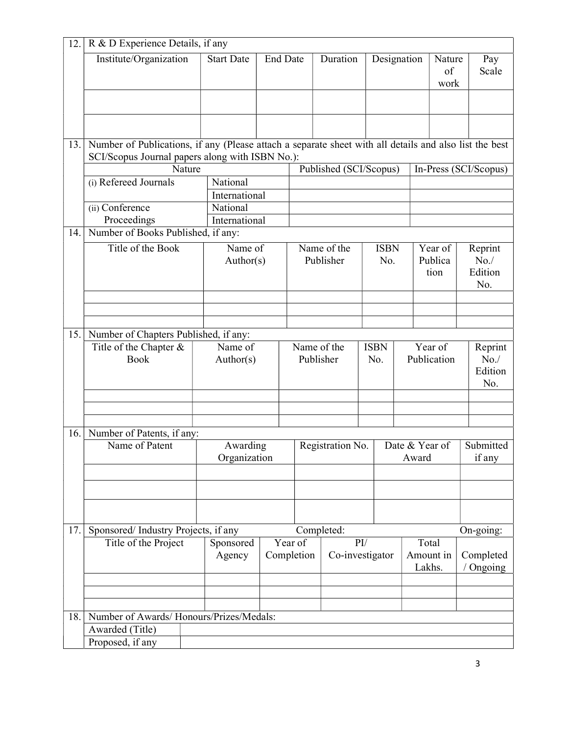| 12. | R & D Experience Details, if any                                                                       |                           |                      |                                                       |                          |                    |                              |                            |                                    |  |  |  |
|-----|--------------------------------------------------------------------------------------------------------|---------------------------|----------------------|-------------------------------------------------------|--------------------------|--------------------|------------------------------|----------------------------|------------------------------------|--|--|--|
|     | Institute/Organization                                                                                 | <b>Start Date</b>         | <b>End Date</b>      |                                                       | Duration                 | Designation        |                              | Nature<br>of<br>work       | Pay<br>Scale                       |  |  |  |
|     |                                                                                                        |                           |                      |                                                       |                          |                    |                              |                            |                                    |  |  |  |
|     |                                                                                                        |                           |                      |                                                       |                          |                    |                              |                            |                                    |  |  |  |
| 13. | Number of Publications, if any (Please attach a separate sheet with all details and also list the best |                           |                      |                                                       |                          |                    |                              |                            |                                    |  |  |  |
|     | SCI/Scopus Journal papers along with ISBN No.):                                                        |                           |                      |                                                       |                          |                    |                              |                            |                                    |  |  |  |
|     | Nature                                                                                                 |                           |                      | Published (SCI/Scopus)                                |                          |                    |                              |                            | In-Press (SCI/Scopus)              |  |  |  |
|     | (i) Refereed Journals                                                                                  | National                  |                      |                                                       |                          |                    |                              |                            |                                    |  |  |  |
|     |                                                                                                        | International             |                      |                                                       |                          |                    |                              |                            |                                    |  |  |  |
|     | (ii) Conference                                                                                        | National<br>International |                      |                                                       |                          |                    |                              |                            |                                    |  |  |  |
| 14. | Proceedings<br>Number of Books Published, if any:                                                      |                           |                      |                                                       |                          |                    |                              |                            |                                    |  |  |  |
|     |                                                                                                        |                           |                      |                                                       |                          |                    |                              |                            |                                    |  |  |  |
|     | Title of the Book                                                                                      | Name of<br>Author(s)      |                      | Name of the<br>Publisher                              |                          | <b>ISBN</b><br>No. |                              | Year of<br>Publica<br>tion | Reprint<br>No. /<br>Edition<br>No. |  |  |  |
|     |                                                                                                        |                           |                      |                                                       |                          |                    |                              |                            |                                    |  |  |  |
|     |                                                                                                        |                           |                      |                                                       |                          |                    |                              |                            |                                    |  |  |  |
|     |                                                                                                        |                           |                      |                                                       |                          |                    |                              |                            |                                    |  |  |  |
| 15. | Number of Chapters Published, if any:                                                                  |                           |                      |                                                       |                          | <b>ISBN</b>        |                              |                            |                                    |  |  |  |
|     | Title of the Chapter &<br><b>Book</b>                                                                  |                           | Name of<br>Author(s) |                                                       | Name of the<br>Publisher |                    |                              | Year of<br>Publication     | Reprint<br>No. /<br>Edition<br>No. |  |  |  |
|     |                                                                                                        |                           |                      |                                                       |                          |                    |                              |                            |                                    |  |  |  |
|     |                                                                                                        |                           |                      |                                                       |                          |                    |                              |                            |                                    |  |  |  |
|     |                                                                                                        |                           |                      |                                                       |                          |                    |                              |                            |                                    |  |  |  |
| 16. | Number of Patents, if any:                                                                             |                           |                      |                                                       |                          |                    |                              |                            |                                    |  |  |  |
|     | Name of Patent                                                                                         | Awarding<br>Organization  |                      | Registration No.                                      |                          |                    | Date & Year of<br>Award      |                            | Submitted<br>if any                |  |  |  |
|     |                                                                                                        |                           |                      |                                                       |                          |                    |                              |                            |                                    |  |  |  |
|     |                                                                                                        |                           |                      |                                                       |                          |                    |                              |                            |                                    |  |  |  |
|     |                                                                                                        |                           |                      |                                                       |                          |                    |                              |                            |                                    |  |  |  |
| 17. | Sponsored/Industry Projects, if any                                                                    |                           | Completed:           |                                                       |                          |                    |                              | On-going:                  |                                    |  |  |  |
|     | Title of the Project                                                                                   | Sponsored<br>Agency       |                      | Year of<br>$\rm{PI}$<br>Completion<br>Co-investigator |                          |                    | Total<br>Amount in<br>Lakhs. |                            | Completed<br>/ Ongoing             |  |  |  |
|     |                                                                                                        |                           |                      |                                                       |                          |                    |                              |                            |                                    |  |  |  |
|     |                                                                                                        |                           |                      |                                                       |                          |                    |                              |                            |                                    |  |  |  |
|     |                                                                                                        |                           |                      |                                                       |                          |                    |                              |                            |                                    |  |  |  |
| 18. | Number of Awards/Honours/Prizes/Medals:                                                                |                           |                      |                                                       |                          |                    |                              |                            |                                    |  |  |  |
|     | Awarded (Title)                                                                                        |                           |                      |                                                       |                          |                    |                              |                            |                                    |  |  |  |
|     | Proposed, if any                                                                                       |                           |                      |                                                       |                          |                    |                              |                            |                                    |  |  |  |